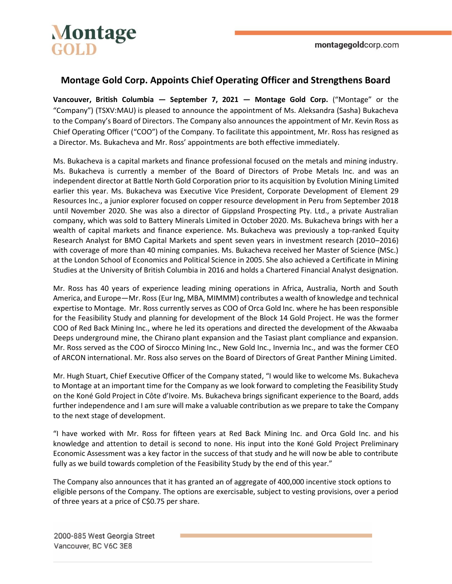

# **Montage Gold Corp. Appoints Chief Operating Officer and Strengthens Board**

**Vancouver, British Columbia — September 7, 2021 — Montage Gold Corp.** ("Montage" or the "Company") (TSXV:MAU) is pleased to announce the appointment of Ms. Aleksandra (Sasha) Bukacheva to the Company's Board of Directors. The Company also announces the appointment of Mr. Kevin Ross as Chief Operating Officer ("COO") of the Company. To facilitate this appointment, Mr. Ross has resigned as a Director. Ms. Bukacheva and Mr. Ross' appointments are both effective immediately.

Ms. Bukacheva is a capital markets and finance professional focused on the metals and mining industry. Ms. Bukacheva is currently a member of the Board of Directors of Probe Metals Inc. and was an independent director at Battle North Gold Corporation prior to its acquisition by Evolution Mining Limited earlier this year. Ms. Bukacheva was Executive Vice President, Corporate Development of Element 29 Resources Inc., a junior explorer focused on copper resource development in Peru from September 2018 until November 2020. She was also a director of Gippsland Prospecting Pty. Ltd., a private Australian company, which was sold to Battery Minerals Limited in October 2020. Ms. Bukacheva brings with her a wealth of capital markets and finance experience. Ms. Bukacheva was previously a top-ranked Equity Research Analyst for BMO Capital Markets and spent seven years in investment research (2010–2016) with coverage of more than 40 mining companies. Ms. Bukacheva received her Master of Science (MSc.) at the London School of Economics and Political Science in 2005. She also achieved a Certificate in Mining Studies at the University of British Columbia in 2016 and holds a Chartered Financial Analyst designation.

Mr. Ross has 40 years of experience leading mining operations in Africa, Australia, North and South America, and Europe—Mr. Ross (Eur Ing, MBA, MIMMM) contributes a wealth of knowledge and technical expertise to Montage. Mr. Ross currently serves as COO of Orca Gold Inc. where he has been responsible for the Feasibility Study and planning for development of the Block 14 Gold Project. He was the former COO of Red Back Mining Inc., where he led its operations and directed the development of the Akwaaba Deeps underground mine, the Chirano plant expansion and the Tasiast plant compliance and expansion. Mr. Ross served as the COO of Sirocco Mining Inc., New Gold Inc., Invernia Inc., and was the former CEO of ARCON international. Mr. Ross also serves on the Board of Directors of Great Panther Mining Limited.

Mr. Hugh Stuart, Chief Executive Officer of the Company stated, "I would like to welcome Ms. Bukacheva to Montage at an important time for the Company as we look forward to completing the Feasibility Study on the Koné Gold Project in Côte d'Ivoire. Ms. Bukacheva brings significant experience to the Board, adds further independence and I am sure will make a valuable contribution as we prepare to take the Company to the next stage of development.

"I have worked with Mr. Ross for fifteen years at Red Back Mining Inc. and Orca Gold Inc. and his knowledge and attention to detail is second to none. His input into the Koné Gold Project Preliminary Economic Assessment was a key factor in the success of that study and he will now be able to contribute fully as we build towards completion of the Feasibility Study by the end of this year."

The Company also announces that it has granted an of aggregate of 400,000 incentive stock options to eligible persons of the Company. The options are exercisable, subject to vesting provisions, over a period of three years at a price of C\$0.75 per share.